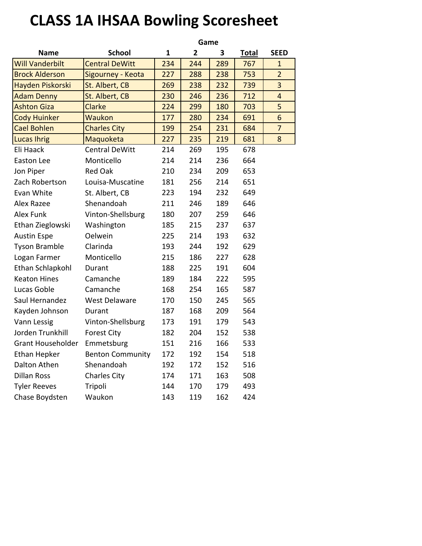## **CLASS 1A IHSAA Bowling Scoresheet**

|                          |                         | Game |                |     |              |                |
|--------------------------|-------------------------|------|----------------|-----|--------------|----------------|
| <b>Name</b>              | <b>School</b>           | 1    | $\overline{2}$ | 3   | <b>Total</b> | <b>SEED</b>    |
| <b>Will Vanderbilt</b>   | <b>Central DeWitt</b>   | 234  | 244            | 289 | 767          | $\mathbf{1}$   |
| <b>Brock Alderson</b>    | Sigourney - Keota       | 227  | 288            | 238 | 753          | $\overline{2}$ |
| Hayden Piskorski         | St. Albert, CB          | 269  | 238            | 232 | 739          | 3              |
| <b>Adam Denny</b>        | St. Albert, CB          | 230  | 246            | 236 | 712          | 4              |
| <b>Ashton Giza</b>       | Clarke                  | 224  | 299            | 180 | 703          | 5              |
| <b>Cody Huinker</b>      | <b>Waukon</b>           | 177  | 280            | 234 | 691          | 6              |
| <b>Cael Bohlen</b>       | <b>Charles City</b>     | 199  | 254            | 231 | 684          | $\overline{7}$ |
| <b>Lucas Ihrig</b>       | Maquoketa               | 227  | 235            | 219 | 681          | 8              |
| Eli Haack                | <b>Central DeWitt</b>   | 214  | 269            | 195 | 678          |                |
| Easton Lee               | Monticello              | 214  | 214            | 236 | 664          |                |
| Jon Piper                | <b>Red Oak</b>          | 210  | 234            | 209 | 653          |                |
| Zach Robertson           | Louisa-Muscatine        | 181  | 256            | 214 | 651          |                |
| Evan White               | St. Albert, CB          | 223  | 194            | 232 | 649          |                |
| Alex Razee               | Shenandoah              | 211  | 246            | 189 | 646          |                |
| Alex Funk                | Vinton-Shellsburg       | 180  | 207            | 259 | 646          |                |
| Ethan Zieglowski         | Washington              | 185  | 215            | 237 | 637          |                |
| <b>Austin Espe</b>       | Oelwein                 | 225  | 214            | 193 | 632          |                |
| <b>Tyson Bramble</b>     | Clarinda                | 193  | 244            | 192 | 629          |                |
| Logan Farmer             | Monticello              | 215  | 186            | 227 | 628          |                |
| Ethan Schlapkohl         | Durant                  | 188  | 225            | 191 | 604          |                |
| <b>Keaton Hines</b>      | Camanche                | 189  | 184            | 222 | 595          |                |
| Lucas Goble              | Camanche                | 168  | 254            | 165 | 587          |                |
| Saul Hernandez           | <b>West Delaware</b>    | 170  | 150            | 245 | 565          |                |
| Kayden Johnson           | Durant                  | 187  | 168            | 209 | 564          |                |
| Vann Lessig              | Vinton-Shellsburg       | 173  | 191            | 179 | 543          |                |
| Jorden Trunkhill         | <b>Forest City</b>      | 182  | 204            | 152 | 538          |                |
| <b>Grant Householder</b> | Emmetsburg              | 151  | 216            | 166 | 533          |                |
| <b>Ethan Hepker</b>      | <b>Benton Community</b> | 172  | 192            | 154 | 518          |                |
| Dalton Athen             | Shenandoah              | 192  | 172            | 152 | 516          |                |
| <b>Dillan Ross</b>       | <b>Charles City</b>     | 174  | 171            | 163 | 508          |                |
| <b>Tyler Reeves</b>      | Tripoli                 | 144  | 170            | 179 | 493          |                |
| Chase Boydsten           | Waukon                  | 143  | 119            | 162 | 424          |                |